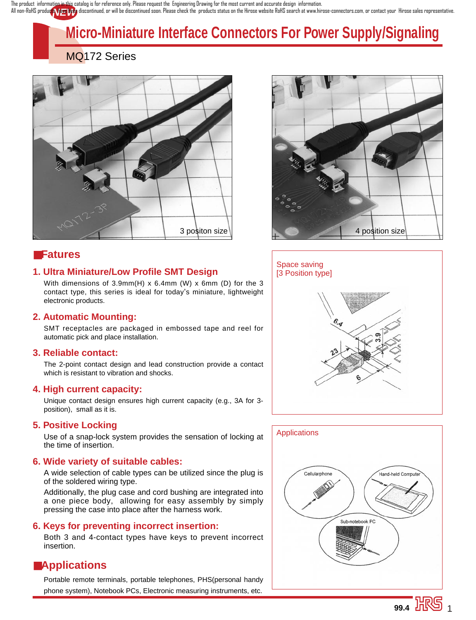All non-RoHS product Tem Used discontinued, or will be discontinued soon. Please check the products status on the Hirose website RoHS search at www.hirose-connectors.com, or contact your Hirose sales representative. The product information in this catalog is for reference only. Please request the Engineering Drawing for the most current and accurate design information.

# **Micro-Miniature Interface Connectors For Power Supply/Signaling**

# MQ172 Series



# ■**Fatures**

### **1. Ultra Miniature/Low Profile SMT Design**

With dimensions of 3.9mm(H) x 6.4mm (W) x 6mm (D) for the 3 contact type, this series is ideal for today's miniature, lightweight electronic products.

### **2. Automatic Mounting:**

SMT receptacles are packaged in embossed tape and reel for automatic pick and place installation.

### **3. Reliable contact:**

The 2-point contact design and lead construction provide a contact which is resistant to vibration and shocks.

### **4. High current capacity:**

Unique contact design ensures high current capacity (e.g., 3A for 3 position), small as it is.

### **5. Positive Locking**

Use of a snap-lock system provides the sensation of locking at the time of insertion.

### **6. Wide variety of suitable cables:**

A wide selection of cable types can be utilized since the plug is of the soldered wiring type.

Additionally, the plug case and cord bushing are integrated into a one piece body, allowing for easy assembly by simply pressing the case into place after the harness work.

### **6. Keys for preventing incorrect insertion:**

Both 3 and 4-contact types have keys to prevent incorrect insertion.

## ■**Applications**

Portable remote terminals, portable telephones, PHS(personal handy phone system), Notebook PCs, Electronic measuring instruments, etc.





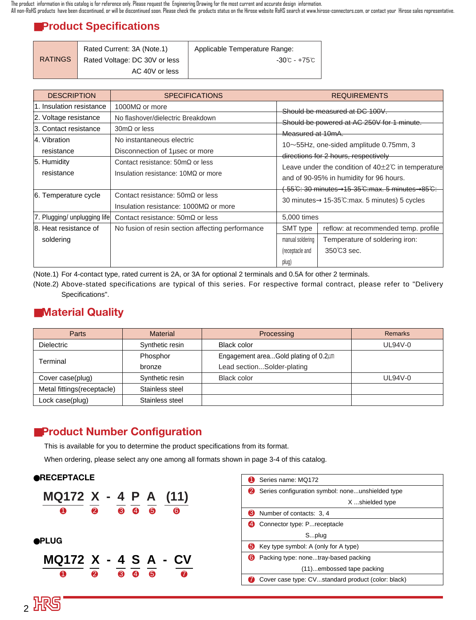# ■**Product Specifications**

|                | Rated Current: 3A (Note.1)    | Applicable Temperature Range: |
|----------------|-------------------------------|-------------------------------|
| <b>RATINGS</b> | Rated Voltage: DC 30V or less | -30℃ - +75℃                   |
|                | AC 40V or less                |                               |

| <b>DESCRIPTION</b>                                                                         | <b>SPECIFICATIONS</b>                                                                                                            |                                                                                                                                                                                          | <b>REQUIREMENTS</b>                                                                   |  |  |
|--------------------------------------------------------------------------------------------|----------------------------------------------------------------------------------------------------------------------------------|------------------------------------------------------------------------------------------------------------------------------------------------------------------------------------------|---------------------------------------------------------------------------------------|--|--|
| 1. Insulation resistance<br>2. Voltage resistance<br>3. Contact resistance<br>4. Vibration | 1000 $M\Omega$ or more<br>No flashover/dielectric Breakdown<br>$30 \text{m}\Omega$ or less<br>No instantaneous electric          | Should be measured at DC 100V.<br>Should be powered at AC 250V for 1 minute.<br>Measured at 10mA.                                                                                        |                                                                                       |  |  |
| resistance<br>5. Humidity<br>resistance                                                    | Disconnection of 1 usec or more<br>Contact resistance: $50 \text{m}\Omega$ or less<br>Insulation resistance: $10M\Omega$ or more | 10~55Hz, one-sided amplitude 0.75mm, 3<br>directions for 2 hours, respectively<br>Leave under the condition of $40\pm2\degree$ in temperature<br>and of 90-95% in humidity for 96 hours. |                                                                                       |  |  |
| 6. Temperature cycle                                                                       | Contact resistance: $50 \text{m}\Omega$ or less<br>Insulation resistance: $1000M\Omega$ or more                                  | <del>(-55℃: 30 minutes→15-35℃:max. 5 minutes→85℃:</del><br>30 minutes $\rightarrow$ 15-35 $\degree$ C:max. 5 minutes) 5 cycles                                                           |                                                                                       |  |  |
| 7. Plugging/ unplugging life                                                               | Contact resistance: $50 \text{m}\Omega$ or less                                                                                  | 5,000 times                                                                                                                                                                              |                                                                                       |  |  |
| 8. Heat resistance of<br>soldering                                                         | No fusion of resin section affecting performance                                                                                 | SMT type<br>manual soldering<br>(receptacle and<br>plug)                                                                                                                                 | reflow: at recommended temp. profile<br>Temperature of soldering iron:<br>350°C3 sec. |  |  |

(Note.1) For 4-contact type, rated current is 2A, or 3A for optional 2 terminals and 0.5A for other 2 terminals.

(Note.2) Above-stated specifications are typical of this series. For respective formal contract, please refer to "Delivery Specifications".

# ■**Material Quality**

2 沢5

| Parts                      | <b>Material</b> | Processing                           | <b>Remarks</b> |
|----------------------------|-----------------|--------------------------------------|----------------|
| <b>Dielectric</b>          | Synthetic resin | Black color                          | <b>UL94V-0</b> |
| Terminal                   | Phosphor        | Engagement areaGold plating of 0.2µm |                |
|                            | bronze          | Lead sectionSolder-plating           |                |
| Cover case(plug)           | Synthetic resin | Black color                          | <b>UL94V-0</b> |
| Metal fittings(receptacle) | Stainless steel |                                      |                |
| Lock case(plug)            | Stainless steel |                                      |                |

# ■**Product Number Configuration**

This is available for you to determine the product specifications from its format.

When ordering, please select any one among all formats shown in page 3-4 of this catalog.



|     | Series name: MQ172                                 |  |  |
|-----|----------------------------------------------------|--|--|
|     | Series configuration symbol: noneunshielded type   |  |  |
|     | X shielded type                                    |  |  |
| 3   | Number of contacts: 3, 4                           |  |  |
|     | Connector type: P receptacle                       |  |  |
|     | Splug                                              |  |  |
| 15) | Key type symbol: A (only for A type)               |  |  |
|     | Packing type: nonetray-based packing               |  |  |
|     | (11)embossed tape packing                          |  |  |
|     | Cover case type: CVstandard product (color: black) |  |  |
|     |                                                    |  |  |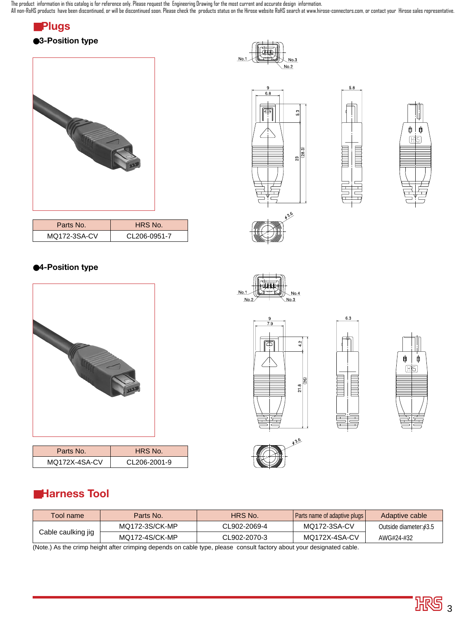The product information in this catalog is for reference only. Please request the Engineering Drawing for the most current and accurate design information.

All non-RoHS products have been discontinued, or will be discontinued soon. Please check the products status on the Hirose website RoHS search at www.hirose-connectors.com, or contact your Hirose sales representative.

# ■**Plugs** ●**3-Position type**

# 

| Parts No.    | HRS No.      |
|--------------|--------------|
| MQ172-3SA-CV | CL206-0951-7 |

# ●**4-Position type**



| Parts No.     | HRS No.      |  |
|---------------|--------------|--|
| MQ172X-4SA-CV | CL206-2001-9 |  |















636







| Tool name '                                                                          | Parts No.      | HRS No.      | Parts name of adaptive plugs | Adaptive cable               |
|--------------------------------------------------------------------------------------|----------------|--------------|------------------------------|------------------------------|
| Cable caulking jig                                                                   | MQ172-3S/CK-MP | CL902-2069-4 | MQ172-3SA-CV                 | Outside diameter: $\phi$ 3.5 |
|                                                                                      | MQ172-4S/CK-MP | CL902-2070-3 | MQ172X-4SA-CV                | AWG#24-#32                   |
| $\overline{a}$ , and the state of the state of the state of the state $\overline{a}$ |                |              |                              |                              |

(Note.) As the crimp height after crimping depends on cable type, please consult factory about your designated cable.

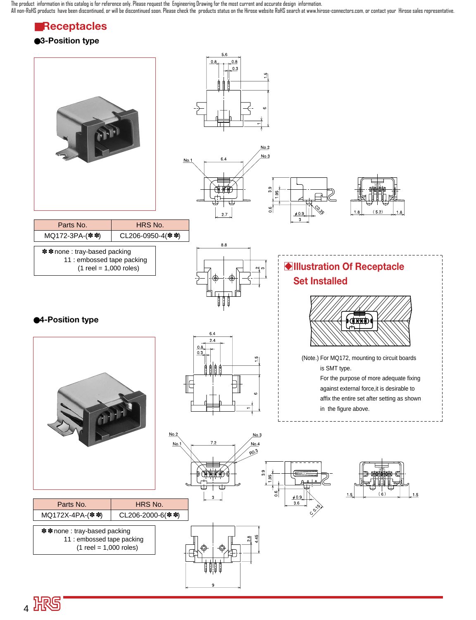# ■**Receptacles**

### ●**3-Position type**



4 服5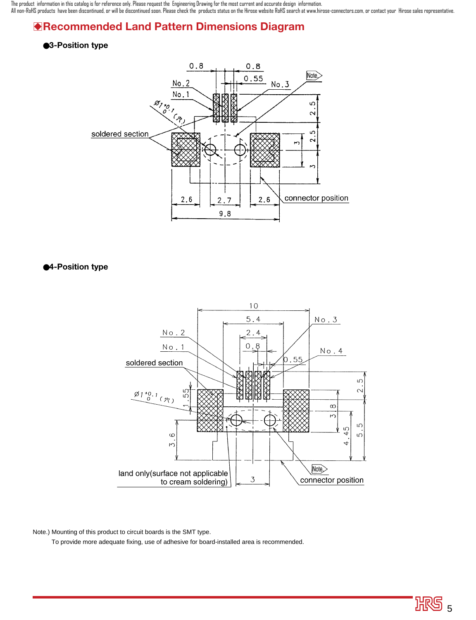# B**Recommended Land Pattern Dimensions Diagram**

### ●**3-Position type**



●**4-Position type**



Note.) Mounting of this product to circuit boards is the SMT type.

To provide more adequate fixing, use of adhesive for board-installed area is recommended.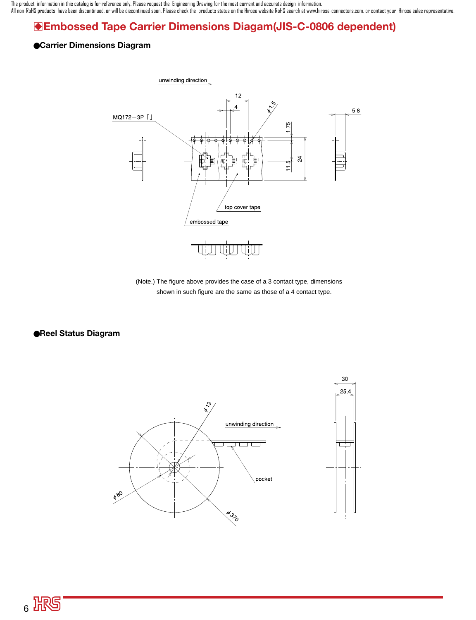# B**Embossed Tape Carrier Dimensions Diagam(JIS-C-0806 dependent)**

### ●**Carrier Dimensions Diagram**



(Note.) The figure above provides the case of a 3 contact type, dimensions shown in such figure are the same as those of a 4 contact type.

●**Reel Status Diagram**